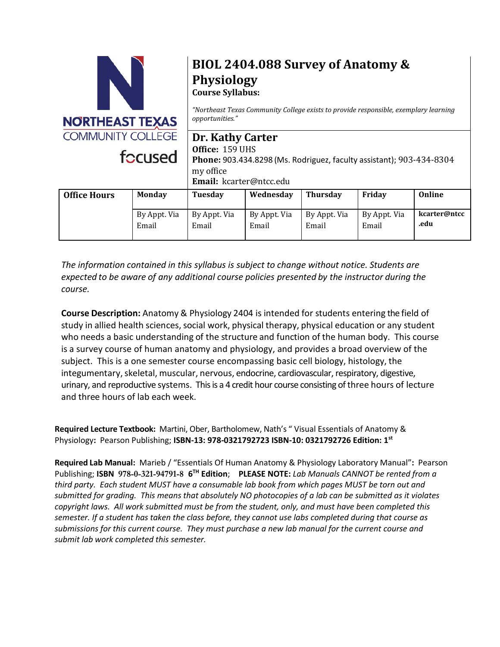

# **BIOL 2404.088 Survey of Anatomy & Physiology**

**Course Syllabus:**

*"Northeast Texas Community College exists to provide responsible, exemplary learning opportunities."*

# **Dr. Kathy Carter Office:** 159 UHS

**Phone:** 903.434.8298 (Ms. Rodriguez, faculty assistant); 903-434-8304 my office **Email:** kcarter@ntcc.edu

| <b>Office Hours</b> | <b>Monday</b> | Tuesday      | Wednesday    | Thursday     | Fridav       | Online       |
|---------------------|---------------|--------------|--------------|--------------|--------------|--------------|
|                     | By Appt. Via  | By Appt. Via | By Appt. Via | By Appt. Via | By Appt. Via | kcarter@ntcc |
|                     | Email         | Email        | Email        | Email        | Email        | .edu         |

*The information contained in this syllabus is subject to change without notice. Students are expected to be aware of any additional course policies presented by the instructor during the course.*

**Course Description:** Anatomy & Physiology 2404 is intended for students entering the field of study in allied health sciences, social work, physical therapy, physical education or any student who needs a basic understanding of the structure and function of the human body. This course is a survey course of human anatomy and physiology, and provides a broad overview of the subject. This is a one semester course encompassing basic cell biology, histology, the integumentary, skeletal, muscular, nervous, endocrine, cardiovascular, respiratory, digestive, urinary, and reproductive systems. This is a 4 credit hour course consisting of three hours of lecture and three hours of lab each week.

**Required Lecture Textbook:** Martini, Ober, Bartholomew, Nath's " Visual Essentials of Anatomy & Physiology**:** Pearson Publishing; **ISBN-13: 978-0321792723 ISBN-10: 0321792726 Edition: 1st**

**Required Lab Manual:** Marieb / "Essentials Of Human Anatomy & Physiology Laboratory Manual"**:** Pearson Publishing; **ISBN 978-0-321-94791-8 6 TH Edition**; **PLEASE NOTE:** *Lab Manuals CANNOT be rented from a third party. Each student MUST have a consumable lab book from which pages MUST be torn out and submitted for grading. This means that absolutely NO photocopies of a lab can be submitted as it violates copyright laws. All work submitted must be from the student, only, and must have been completed this semester. If a student has taken the class before, they cannot use labs completed during that course as submissions for this current course. They must purchase a new lab manual for the current course and submit lab work completed this semester.*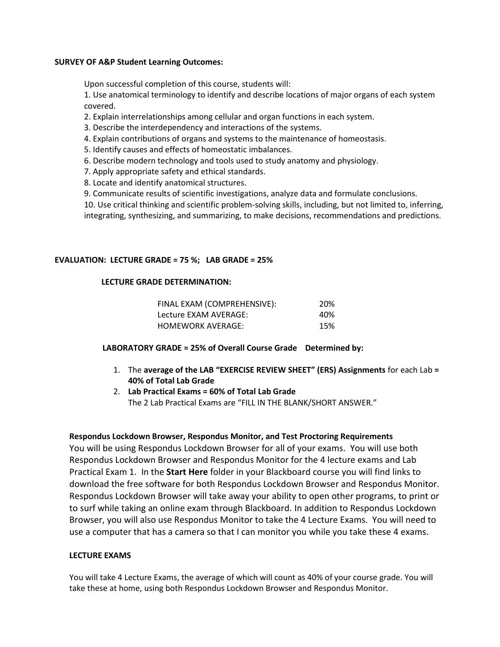#### **SURVEY OF A&P Student Learning Outcomes:**

Upon successful completion of this course, students will:

1. Use anatomical terminology to identify and describe locations of major organs of each system covered.

- 2. Explain interrelationships among cellular and organ functions in each system.
- 3. Describe the interdependency and interactions of the systems.
- 4. Explain contributions of organs and systems to the maintenance of homeostasis.
- 5. Identify causes and effects of homeostatic imbalances.
- 6. Describe modern technology and tools used to study anatomy and physiology.
- 7. Apply appropriate safety and ethical standards.
- 8. Locate and identify anatomical structures.
- 9. Communicate results of scientific investigations, analyze data and formulate conclusions.

10. Use critical thinking and scientific problem-solving skills, including, but not limited to, inferring, integrating, synthesizing, and summarizing, to make decisions, recommendations and predictions.

#### **EVALUATION: LECTURE GRADE = 75 %; LAB GRADE = 25%**

#### **LECTURE GRADE DETERMINATION:**

| FINAL EXAM (COMPREHENSIVE): | 20% |
|-----------------------------|-----|
| Lecture EXAM AVERAGE:       | 40% |
| HOMEWORK AVERAGE:           | 15% |

### **LABORATORY GRADE = 25% of Overall Course Grade Determined by:**

- 1. The **average of the LAB "EXERCISE REVIEW SHEET" (ERS) Assignments** for each Lab **= 40% of Total Lab Grade**
- 2. **Lab Practical Exams = 60% of Total Lab Grade**  The 2 Lab Practical Exams are "FILL IN THE BLANK/SHORT ANSWER."

#### **Respondus Lockdown Browser, Respondus Monitor, and Test Proctoring Requirements**

You will be using Respondus Lockdown Browser for all of your exams. You will use both Respondus Lockdown Browser and Respondus Monitor for the 4 lecture exams and Lab Practical Exam 1. In the **Start Here** folder in your Blackboard course you will find links to download the free software for both Respondus Lockdown Browser and Respondus Monitor. Respondus Lockdown Browser will take away your ability to open other programs, to print or to surf while taking an online exam through Blackboard. In addition to Respondus Lockdown Browser, you will also use Respondus Monitor to take the 4 Lecture Exams. You will need to use a computer that has a camera so that I can monitor you while you take these 4 exams.

#### **LECTURE EXAMS**

You will take 4 Lecture Exams, the average of which will count as 40% of your course grade. You will take these at home, using both Respondus Lockdown Browser and Respondus Monitor.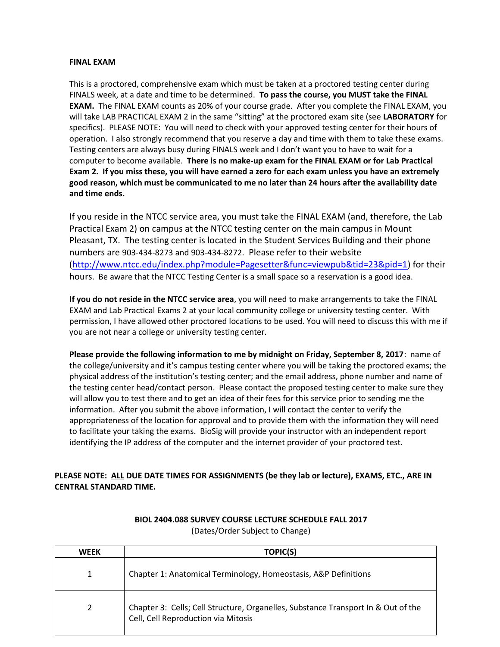#### **FINAL EXAM**

This is a proctored, comprehensive exam which must be taken at a proctored testing center during FINALS week, at a date and time to be determined. **To pass the course, you MUST take the FINAL EXAM.** The FINAL EXAM counts as 20% of your course grade. After you complete the FINAL EXAM, you will take LAB PRACTICAL EXAM 2 in the same "sitting" at the proctored exam site (see **LABORATORY** for specifics). PLEASE NOTE: You will need to check with your approved testing center for their hours of operation. I also strongly recommend that you reserve a day and time with them to take these exams. Testing centers are always busy during FINALS week and I don't want you to have to wait for a computer to become available. **There is no make-up exam for the FINAL EXAM or for Lab Practical Exam 2. If you miss these, you will have earned a zero for each exam unless you have an extremely good reason, which must be communicated to me no later than 24 hours after the availability date and time ends.** 

If you reside in the NTCC service area, you must take the FINAL EXAM (and, therefore, the Lab Practical Exam 2) on campus at the NTCC testing center on the main campus in Mount Pleasant, TX. The testing center is located in the Student Services Building and their phone numbers are 903-434-8273 and 903-434-8272. Please refer to their website [\(http://www.ntcc.edu/index.php?module=Pagesetter&func=viewpub&tid=23&pid=1\)](http://www.ntcc.edu/index.php?module=Pagesetter&func=viewpub&tid=23&pid=1) for their hours. Be aware that the NTCC Testing Center is a small space so a reservation is a good idea.

**If you do not reside in the NTCC service area**, you will need to make arrangements to take the FINAL EXAM and Lab Practical Exams 2 at your local community college or university testing center. With permission, I have allowed other proctored locations to be used. You will need to discuss this with me if you are not near a college or university testing center.

**Please provide the following information to me by midnight on Friday, September 8, 2017**: name of the college/university and it's campus testing center where you will be taking the proctored exams; the physical address of the institution's testing center; and the email address, phone number and name of the testing center head/contact person. Please contact the proposed testing center to make sure they will allow you to test there and to get an idea of their fees for this service prior to sending me the information. After you submit the above information, I will contact the center to verify the appropriateness of the location for approval and to provide them with the information they will need to facilitate your taking the exams. BioSig will provide your instructor with an independent report identifying the IP address of the computer and the internet provider of your proctored test.

## **PLEASE NOTE: ALL DUE DATE TIMES FOR ASSIGNMENTS (be they lab or lecture), EXAMS, ETC., ARE IN CENTRAL STANDARD TIME.**

| <b>WEEK</b> | TOPIC(S)                                                                                                                 |
|-------------|--------------------------------------------------------------------------------------------------------------------------|
| 1           | Chapter 1: Anatomical Terminology, Homeostasis, A&P Definitions                                                          |
| 2           | Chapter 3: Cells; Cell Structure, Organelles, Substance Transport In & Out of the<br>Cell, Cell Reproduction via Mitosis |

# **BIOL 2404.088 SURVEY COURSE LECTURE SCHEDULE FALL 2017**

(Dates/Order Subject to Change)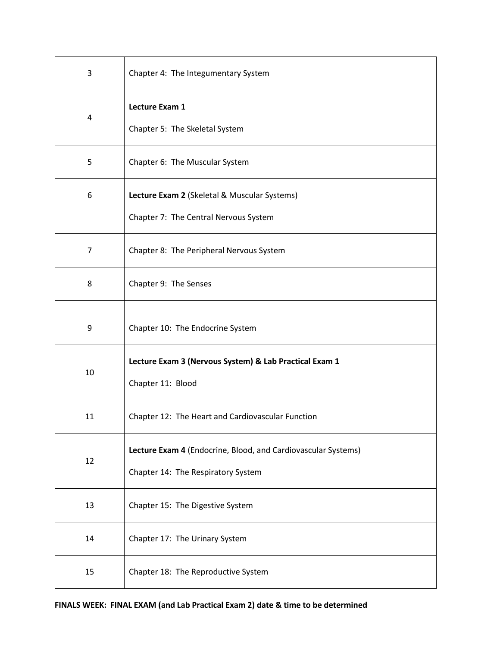| 3  | Chapter 4: The Integumentary System                                                                 |
|----|-----------------------------------------------------------------------------------------------------|
| 4  | Lecture Exam 1<br>Chapter 5: The Skeletal System                                                    |
| 5  | Chapter 6: The Muscular System                                                                      |
| 6  | Lecture Exam 2 (Skeletal & Muscular Systems)<br>Chapter 7: The Central Nervous System               |
| 7  | Chapter 8: The Peripheral Nervous System                                                            |
| 8  | Chapter 9: The Senses                                                                               |
| 9  | Chapter 10: The Endocrine System                                                                    |
| 10 | Lecture Exam 3 (Nervous System) & Lab Practical Exam 1<br>Chapter 11: Blood                         |
| 11 | Chapter 12: The Heart and Cardiovascular Function                                                   |
| 12 | Lecture Exam 4 (Endocrine, Blood, and Cardiovascular Systems)<br>Chapter 14: The Respiratory System |
| 13 | Chapter 15: The Digestive System                                                                    |
| 14 | Chapter 17: The Urinary System                                                                      |
| 15 | Chapter 18: The Reproductive System                                                                 |